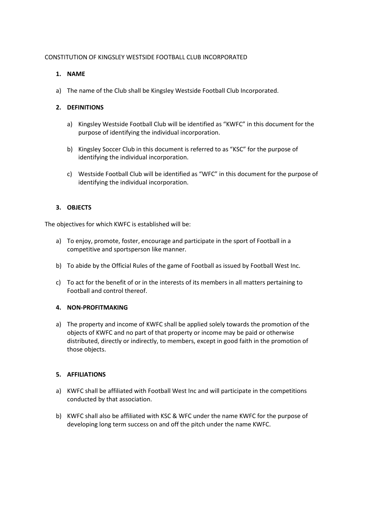# CONSTITUTION OF KINGSLEY WESTSIDE FOOTBALL CLUB INCORPORATED

# **1. NAME**

a) The name of the Club shall be Kingsley Westside Football Club Incorporated.

# **2. DEFINITIONS**

- a) Kingsley Westside Football Club will be identified as "KWFC" in this document for the purpose of identifying the individual incorporation.
- b) Kingsley Soccer Club in this document is referred to as "KSC" for the purpose of identifying the individual incorporation.
- c) Westside Football Club will be identified as "WFC" in this document for the purpose of identifying the individual incorporation.

# **3. OBJECTS**

The objectives for which KWFC is established will be:

- a) To enjoy, promote, foster, encourage and participate in the sport of Football in a competitive and sportsperson like manner.
- b) To abide by the Official Rules of the game of Football as issued by Football West Inc.
- c) To act for the benefit of or in the interests of its members in all matters pertaining to Football and control thereof.

### **4. NON-PROFITMAKING**

a) The property and income of KWFC shall be applied solely towards the promotion of the objects of KWFC and no part of that property or income may be paid or otherwise distributed, directly or indirectly, to members, except in good faith in the promotion of those objects.

### **5. AFFILIATIONS**

- a) KWFC shall be affiliated with Football West Inc and will participate in the competitions conducted by that association.
- b) KWFC shall also be affiliated with KSC & WFC under the name KWFC for the purpose of developing long term success on and off the pitch under the name KWFC.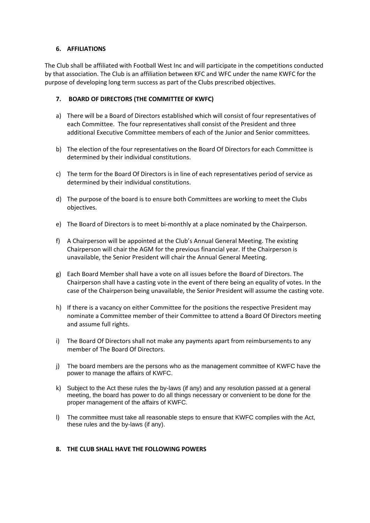# **6. AFFILIATIONS**

The Club shall be affiliated with Football West Inc and will participate in the competitions conducted by that association. The Club is an affiliation between KFC and WFC under the name KWFC for the purpose of developing long term success as part of the Clubs prescribed objectives.

# **7. BOARD OF DIRECTORS (THE COMMITTEE OF KWFC)**

- a) There will be a Board of Directors established which will consist of four representatives of each Committee. The four representatives shall consist of the President and three additional Executive Committee members of each of the Junior and Senior committees.
- b) The election of the four representatives on the Board Of Directors for each Committee is determined by their individual constitutions.
- c) The term for the Board Of Directors is in line of each representatives period of service as determined by their individual constitutions.
- d) The purpose of the board is to ensure both Committees are working to meet the Clubs objectives.
- e) The Board of Directors is to meet bi-monthly at a place nominated by the Chairperson.
- f) A Chairperson will be appointed at the Club's Annual General Meeting. The existing Chairperson will chair the AGM for the previous financial year. If the Chairperson is unavailable, the Senior President will chair the Annual General Meeting.
- g) Each Board Member shall have a vote on all issues before the Board of Directors. The Chairperson shall have a casting vote in the event of there being an equality of votes. In the case of the Chairperson being unavailable, the Senior President will assume the casting vote.
- h) If there is a vacancy on either Committee for the positions the respective President may nominate a Committee member of their Committee to attend a Board Of Directors meeting and assume full rights.
- i) The Board Of Directors shall not make any payments apart from reimbursements to any member of The Board Of Directors.
- j) The board members are the persons who as the management committee of KWFC have the power to manage the affairs of KWFC.
- k) Subject to the Act these rules the by-laws (if any) and any resolution passed at a general meeting, the board has power to do all things necessary or convenient to be done for the proper management of the affairs of KWFC.
- l) The committee must take all reasonable steps to ensure that KWFC complies with the Act, these rules and the by-laws (if any).

### **8. THE CLUB SHALL HAVE THE FOLLOWING POWERS**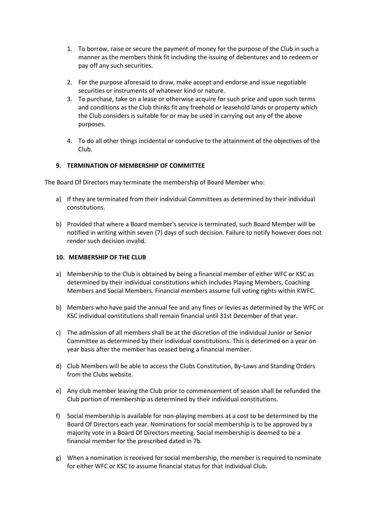- 1. To borrow, raise or secure the payment of money for the purpose of the Club in such a manner as the members think fit including the issuing of debentures and to redeem or pay off any such securities.
- 2. For the purpose aforesaid to draw, make accept and endorse and issue negotiable securities or instruments of whatever kind or nature.
- 3. To purchase, take on a lease or otherwise acquire for such price and upon such terms and conditions as the Club thinks fit any freehold or leasehold lands or property which the Club considers is suitable for or may be used in carrying out any of the above purposes.
- 4. To do all other things incidental or conducive to the attainment of the objectives of the Club.

# **9. TERMINATION OF MEMBERSHIP OF COMMITTEE**

The Board Of Directors may terminate the membership of Board Member who:

- a) If they are terminated from their individual Committees as determined by their individual constitutions.
- b) Provided that where a Board member's service is terminated, such Board Member will be notified in writing within seven (7) days of such decision. Failure to notify however does not render such decision invalid.

### **10. MEMBERSHIP OF THE CLUB**

- a) Membership to the Club is obtained by being a financial member of either WFC or KSC as determined by their individual constitutions which includes Playing Members, Coaching Members and Social Members. Financial members assume full voting rights within KWFC.
- b) Members who have paid the annual fee and any fines or levies as determined by the WFC or KSC individual constitutions shall remain financial until 31st December of that year.
- c) The admission of all members shall be at the discretion of the individual Junior or Senior Committee as determined by their individual constitutions. This is deterimed on a year on year basis after the member has ceased being a financial member.
- d) Club Members will be able to access the Clubs Constitution, By-Laws and Standing Orders from the Clubs website.
- e) Any club member leaving the Club prior to commencement of season shall be refunded the Club portion of membership as determined by their individual constitutions.
- f) Social membership is available for non-playing members at a cost to be determined by the Board Of Directors each year. Nominations for social membership is to be approved by a majority vote in a Board Of Directors meeting. Social membership is deemed to be a financial member for the prescribed dated in 7b.
- g) When a nomination is received for social membership, the member is required to nominate for either WFC or KSC to assume financial status for that individual Club.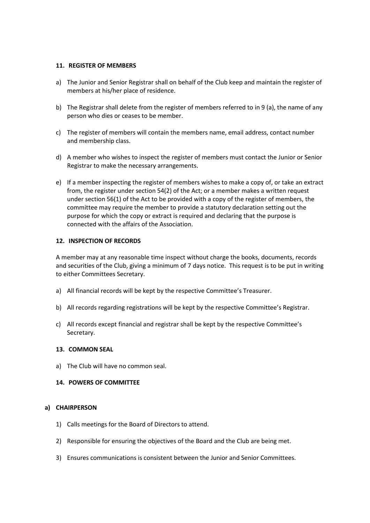### **11. REGISTER OF MEMBERS**

- a) The Junior and Senior Registrar shall on behalf of the Club keep and maintain the register of members at his/her place of residence.
- b) The Registrar shall delete from the register of members referred to in 9 (a), the name of any person who dies or ceases to be member.
- c) The register of members will contain the members name, email address, contact number and membership class.
- d) A member who wishes to inspect the register of members must contact the Junior or Senior Registrar to make the necessary arrangements.
- e) If a member inspecting the register of members wishes to make a copy of, or take an extract from, the register under section 54(2) of the Act; or a member makes a written request under section 56(1) of the Act to be provided with a copy of the register of members, the committee may require the member to provide a statutory declaration setting out the purpose for which the copy or extract is required and declaring that the purpose is connected with the affairs of the Association.

#### **12. INSPECTION OF RECORDS**

A member may at any reasonable time inspect without charge the books, documents, records and securities of the Club, giving a minimum of 7 days notice. This request is to be put in writing to either Committees Secretary.

- a) All financial records will be kept by the respective Committee's Treasurer.
- b) All records regarding registrations will be kept by the respective Committee's Registrar.
- c) All records except financial and registrar shall be kept by the respective Committee's Secretary.

#### **13. COMMON SEAL**

a) The Club will have no common seal.

#### **14. POWERS OF COMMITTEE**

#### **a) CHAIRPERSON**

- 1) Calls meetings for the Board of Directors to attend.
- 2) Responsible for ensuring the objectives of the Board and the Club are being met.
- 3) Ensures communications is consistent between the Junior and Senior Committees.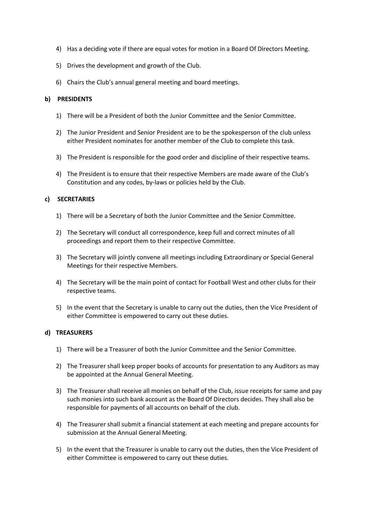- 4) Has a deciding vote if there are equal votes for motion in a Board Of Directors Meeting.
- 5) Drives the development and growth of the Club.
- 6) Chairs the Club's annual general meeting and board meetings.

### **b) PRESIDENTS**

- 1) There will be a President of both the Junior Committee and the Senior Committee.
- 2) The Junior President and Senior President are to be the spokesperson of the club unless either President nominates for another member of the Club to complete this task.
- 3) The President is responsible for the good order and discipline of their respective teams.
- 4) The President is to ensure that their respective Members are made aware of the Club's Constitution and any codes, by-laws or policies held by the Club.

### **c) SECRETARIES**

- 1) There will be a Secretary of both the Junior Committee and the Senior Committee.
- 2) The Secretary will conduct all correspondence, keep full and correct minutes of all proceedings and report them to their respective Committee.
- 3) The Secretary will jointly convene all meetings including Extraordinary or Special General Meetings for their respective Members.
- 4) The Secretary will be the main point of contact for Football West and other clubs for their respective teams.
- 5) In the event that the Secretary is unable to carry out the duties, then the Vice President of either Committee is empowered to carry out these duties.

### **d) TREASURERS**

- 1) There will be a Treasurer of both the Junior Committee and the Senior Committee.
- 2) The Treasurer shall keep proper books of accounts for presentation to any Auditors as may be appointed at the Annual General Meeting.
- 3) The Treasurer shall receive all monies on behalf of the Club, issue receipts for same and pay such monies into such bank account as the Board Of Directors decides. They shall also be responsible for payments of all accounts on behalf of the club.
- 4) The Treasurer shall submit a financial statement at each meeting and prepare accounts for submission at the Annual General Meeting.
- 5) In the event that the Treasurer is unable to carry out the duties, then the Vice President of either Committee is empowered to carry out these duties.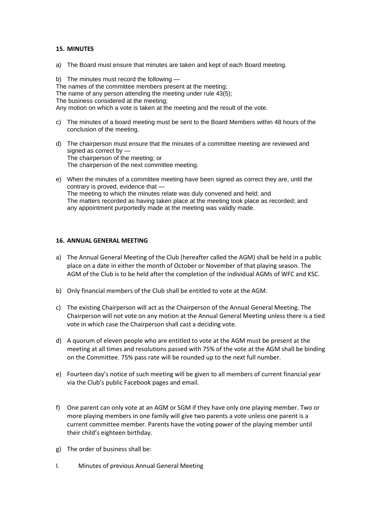#### **15. MINUTES**

a) The Board must ensure that minutes are taken and kept of each Board meeting.

b) The minutes must record the following — The names of the committee members present at the meeting; The name of any person attending the meeting under rule 43(5); The business considered at the meeting; Any motion on which a vote is taken at the meeting and the result of the vote.

- c) The minutes of a board meeting must be sent to the Board Members within 48 hours of the conclusion of the meeting.
- d) The chairperson must ensure that the minutes of a committee meeting are reviewed and signed as correct by — The chairperson of the meeting; or The chairperson of the next committee meeting.
- e) When the minutes of a committee meeting have been signed as correct they are, until the contrary is proved, evidence that — The meeting to which the minutes relate was duly convened and held; and The matters recorded as having taken place at the meeting took place as recorded; and any appointment purportedly made at the meeting was validly made.

## **16. ANNUAL GENERAL MEETING**

- a) The Annual General Meeting of the Club (hereafter called the AGM) shall be held in a public place on a date in either the month of October or November of that playing season. The AGM of the Club is to be held after the completion of the individual AGMs of WFC and KSC.
- b) Only financial members of the Club shall be entitled to vote at the AGM.
- c) The existing Chairperson will act as the Chairperson of the Annual General Meeting. The Chairperson will not vote on any motion at the Annual General Meeting unless there is a tied vote in which case the Chairperson shall cast a deciding vote.
- d) A quorum of eleven people who are entitled to vote at the AGM must be present at the meeting at all times and resolutions passed with 75% of the vote at the AGM shall be binding on the Committee. 75% pass rate will be rounded up to the next full number.
- e) Fourteen day's notice of such meeting will be given to all members of current financial year via the Club's public Facebook pages and email.
- f) One parent can only vote at an AGM or SGM if they have only one playing member. Two or more playing members in one family will give two parents a vote unless one parent is a current committee member. Parents have the voting power of the playing member until their child's eighteen birthday.
- g) The order of business shall be:
- I. Minutes of previous Annual General Meeting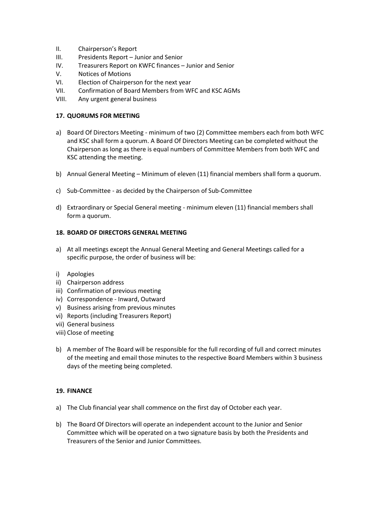- II. Chairperson's Report
- III. Presidents Report Junior and Senior
- IV. Treasurers Report on KWFC finances Junior and Senior
- V. Notices of Motions
- VI. Election of Chairperson for the next year
- VII. Confirmation of Board Members from WFC and KSC AGMs
- VIII. Any urgent general business

# **17. QUORUMS FOR MEETING**

- a) Board Of Directors Meeting minimum of two (2) Committee members each from both WFC and KSC shall form a quorum. A Board Of Directors Meeting can be completed without the Chairperson as long as there is equal numbers of Committee Members from both WFC and KSC attending the meeting.
- b) Annual General Meeting Minimum of eleven (11) financial members shall form a quorum.
- c) Sub-Committee as decided by the Chairperson of Sub-Committee
- d) Extraordinary or Special General meeting minimum eleven (11) financial members shall form a quorum.

# **18. BOARD OF DIRECTORS GENERAL MEETING**

- a) At all meetings except the Annual General Meeting and General Meetings called for a specific purpose, the order of business will be:
- i) Apologies
- ii) Chairperson address
- iii) Confirmation of previous meeting
- iv) Correspondence Inward, Outward
- v) Business arising from previous minutes
- vi) Reports (including Treasurers Report)
- vii) General business
- viii) Close of meeting
- b) A member of The Board will be responsible for the full recording of full and correct minutes of the meeting and email those minutes to the respective Board Members within 3 business days of the meeting being completed.

# **19. FINANCE**

- a) The Club financial year shall commence on the first day of October each year.
- b) The Board Of Directors will operate an independent account to the Junior and Senior Committee which will be operated on a two signature basis by both the Presidents and Treasurers of the Senior and Junior Committees.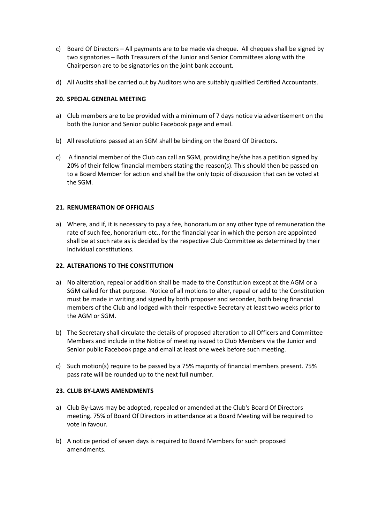- c) Board Of Directors All payments are to be made via cheque. All cheques shall be signed by two signatories – Both Treasurers of the Junior and Senior Committees along with the Chairperson are to be signatories on the joint bank account.
- d) All Audits shall be carried out by Auditors who are suitably qualified Certified Accountants.

# **20. SPECIAL GENERAL MEETING**

- a) Club members are to be provided with a minimum of 7 days notice via advertisement on the both the Junior and Senior public Facebook page and email.
- b) All resolutions passed at an SGM shall be binding on the Board Of Directors.
- c) A financial member of the Club can call an SGM, providing he/she has a petition signed by 20% of their fellow financial members stating the reason(s). This should then be passed on to a Board Member for action and shall be the only topic of discussion that can be voted at the SGM.

# **21. RENUMERATION OF OFFICIALS**

a) Where, and if, it is necessary to pay a fee, honorarium or any other type of remuneration the rate of such fee, honorarium etc., for the financial year in which the person are appointed shall be at such rate as is decided by the respective Club Committee as determined by their individual constitutions.

## **22. ALTERATIONS TO THE CONSTITUTION**

- a) No alteration, repeal or addition shall be made to the Constitution except at the AGM or a SGM called for that purpose. Notice of all motions to alter, repeal or add to the Constitution must be made in writing and signed by both proposer and seconder, both being financial members of the Club and lodged with their respective Secretary at least two weeks prior to the AGM or SGM.
- b) The Secretary shall circulate the details of proposed alteration to all Officers and Committee Members and include in the Notice of meeting issued to Club Members via the Junior and Senior public Facebook page and email at least one week before such meeting.
- c) Such motion(s) require to be passed by a 75% majority of financial members present. 75% pass rate will be rounded up to the next full number.

# **23. CLUB BY-LAWS AMENDMENTS**

- a) Club By-Laws may be adopted, repealed or amended at the Club's Board Of Directors meeting. 75% of Board Of Directors in attendance at a Board Meeting will be required to vote in favour.
- b) A notice period of seven days is required to Board Members for such proposed amendments.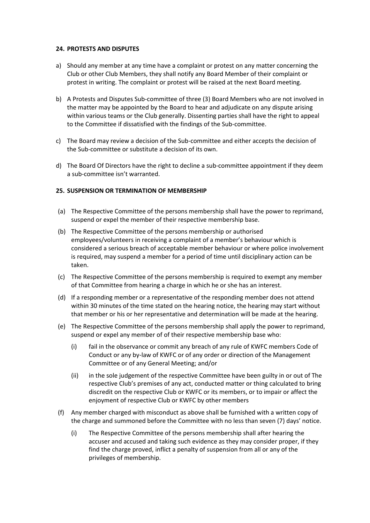#### **24. PROTESTS AND DISPUTES**

- a) Should any member at any time have a complaint or protest on any matter concerning the Club or other Club Members, they shall notify any Board Member of their complaint or protest in writing. The complaint or protest will be raised at the next Board meeting.
- b) A Protests and Disputes Sub-committee of three (3) Board Members who are not involved in the matter may be appointed by the Board to hear and adjudicate on any dispute arising within various teams or the Club generally. Dissenting parties shall have the right to appeal to the Committee if dissatisfied with the findings of the Sub-committee.
- c) The Board may review a decision of the Sub-committee and either accepts the decision of the Sub-committee or substitute a decision of its own.
- d) The Board Of Directors have the right to decline a sub-committee appointment if they deem a sub-committee isn't warranted.

### **25. SUSPENSION OR TERMINATION OF MEMBERSHIP**

- (a) The Respective Committee of the persons membership shall have the power to reprimand, suspend or expel the member of their respective membership base.
- (b) The Respective Committee of the persons membership or authorised employees/volunteers in receiving a complaint of a member's behaviour which is considered a serious breach of acceptable member behaviour or where police involvement is required, may suspend a member for a period of time until disciplinary action can be taken.
- (c) The Respective Committee of the persons membership is required to exempt any member of that Committee from hearing a charge in which he or she has an interest.
- (d) If a responding member or a representative of the responding member does not attend within 30 minutes of the time stated on the hearing notice, the hearing may start without that member or his or her representative and determination will be made at the hearing.
- (e) The Respective Committee of the persons membership shall apply the power to reprimand, suspend or expel any member of of their respective membership base who:
	- (i) fail in the observance or commit any breach of any rule of KWFC members Code of Conduct or any by-law of KWFC or of any order or direction of the Management Committee or of any General Meeting; and/or
	- (ii) in the sole judgement of the respective Committee have been guilty in or out of The respective Club's premises of any act, conducted matter or thing calculated to bring discredit on the respective Club or KWFC or its members, or to impair or affect the enjoyment of respective Club or KWFC by other members
- (f) Any member charged with misconduct as above shall be furnished with a written copy of the charge and summoned before the Committee with no less than seven (7) days' notice.
	- (i) The Respective Committee of the persons membership shall after hearing the accuser and accused and taking such evidence as they may consider proper, if they find the charge proved, inflict a penalty of suspension from all or any of the privileges of membership.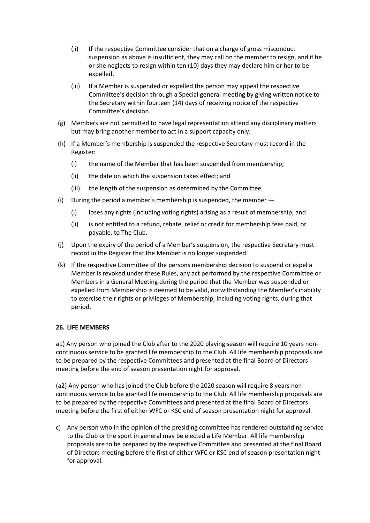- (ii) If the respective Committee consider that on a charge of gross misconduct suspension as above is insufficient, they may call on the member to resign, and if he or she neglects to resign within ten (10) days they may declare him or her to be expelled.
- (iii) If a Member is suspended or expelled the person may appeal the respective Committee's decision through a Special general meeting by giving written notice to the Secretary within fourteen (14) days of receiving notice of the respective Committee's decision.
- (g) Members are not permitted to have legal representation attend any disciplinary matters but may bring another member to act in a support capacity only.
- (h) If a Member's membership is suspended the respective Secretary must record in the Register:
	- (i) the name of the Member that has been suspended from membership;
	- (ii) the date on which the suspension takes effect; and
	- (iii) the length of the suspension as determined by the Committee.
- (i) During the period a member's membership is suspended, the member
	- (i) loses any rights (including voting rights) arising as a result of membership; and
	- (ii) is not entitled to a refund, rebate, relief or credit for membership fees paid, or payable, to The Club.
- (j) Upon the expiry of the period of a Member's suspension, the respective Secretary must record in the Register that the Member is no longer suspended.
- (k) If the respective Committee of the persons membership decision to suspend or expel a Member is revoked under these Rules, any act performed by the respective Committee or Members in a General Meeting during the period that the Member was suspended or expelled from Membership is deemed to be valid, notwithstanding the Member's inability to exercise their rights or privileges of Membership, including voting rights, during that period.

### **26. LIFE MEMBERS**

a1) Any person who joined the Club after to the 2020 playing season will require 10 years noncontinuous service to be granted life membership to the Club. All life membership proposals are to be prepared by the respective Committees and presented at the final Board of Directors meeting before the end of season presentation night for approval.

(a2) Any person who has joined the Club before the 2020 season will require 8 years noncontinuous service to be granted life membership to the Club. All life membership proposals are to be prepared by the respective Committees and presented at the final Board of Directors meeting before the first of either WFC or KSC end of season presentation night for approval.

c) Any person who in the opinion of the presiding committee has rendered outstanding service to the Club or the sport in general may be elected a Life Member. All life membership proposals are to be prepared by the respective Committee and presented at the final Board of Directors meeting before the first of either WFC or KSC end of season presentation night for approval.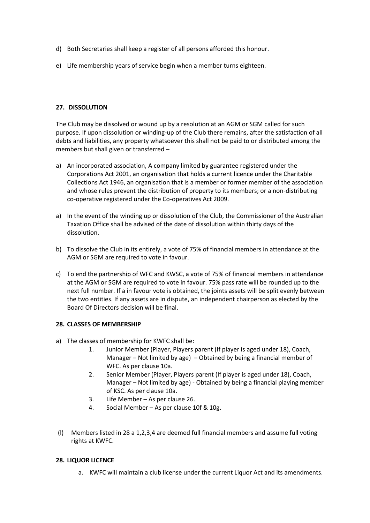- d) Both Secretaries shall keep a register of all persons afforded this honour.
- e) Life membership years of service begin when a member turns eighteen.

# **27. DISSOLUTION**

The Club may be dissolved or wound up by a resolution at an AGM or SGM called for such purpose. If upon dissolution or winding-up of the Club there remains, after the satisfaction of all debts and liabilities, any property whatsoever this shall not be paid to or distributed among the members but shall given or transferred –

- a) An incorporated association, A company limited by guarantee registered under the Corporations Act 2001, an organisation that holds a current licence under the Charitable Collections Act 1946, an organisation that is a member or former member of the association and whose rules prevent the distribution of property to its members; or a non-distributing co-operative registered under the Co-operatives Act 2009.
- a) In the event of the winding up or dissolution of the Club, the Commissioner of the Australian Taxation Office shall be advised of the date of dissolution within thirty days of the dissolution.
- b) To dissolve the Club in its entirely, a vote of 75% of financial members in attendance at the AGM or SGM are required to vote in favour.
- c) To end the partnership of WFC and KWSC, a vote of 75% of financial members in attendance at the AGM or SGM are required to vote in favour. 75% pass rate will be rounded up to the next full number. If a in favour vote is obtained, the joints assets will be split evenly between the two entities. If any assets are in dispute, an independent chairperson as elected by the Board Of Directors decision will be final.

### **28. CLASSES OF MEMBERSHIP**

- a) The classes of membership for KWFC shall be:
	- 1. Junior Member (Player, Players parent (If player is aged under 18), Coach, Manager – Not limited by age) – Obtained by being a financial member of WFC. As per clause 10a.
	- 2. Senior Member (Player, Players parent (If player is aged under 18), Coach, Manager – Not limited by age) - Obtained by being a financial playing member of KSC. As per clause 10a.
	- 3. Life Member As per clause 26.
	- 4. Social Member As per clause 10f & 10g.
- (l) Members listed in 28 a 1,2,3,4 are deemed full financial members and assume full voting rights at KWFC.

### **28. LIQUOR LICENCE**

a. KWFC will maintain a club license under the current Liquor Act and its amendments.